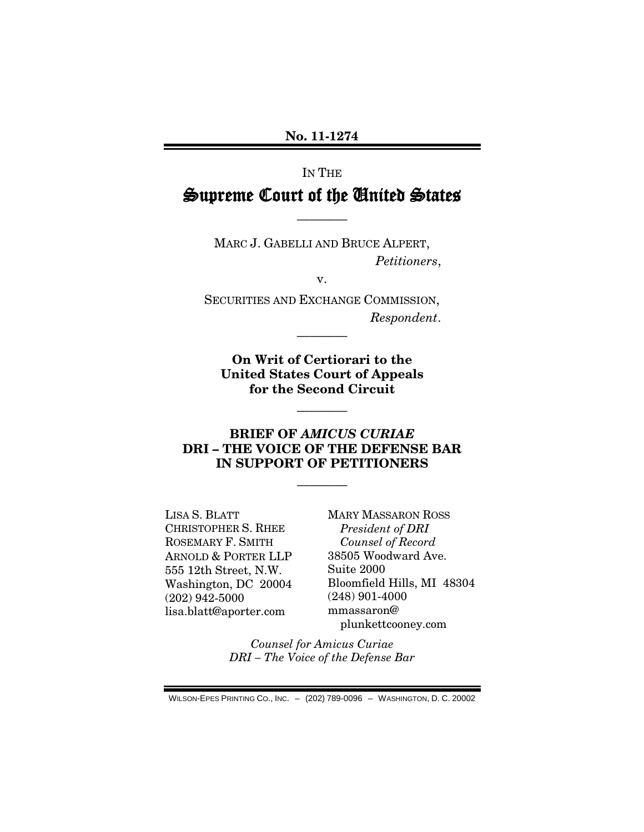# IN THE Supreme Court of the United States

————

MARC J. GABELLI AND BRUCE ALPERT, *Petitioners*,

v.

SECURITIES AND EXCHANGE COMMISSION, *Respondent*.

————

**On Writ of Certiorari to the United States Court of Appeals for the Second Circuit**

————

#### **BRIEF OF** *AMICUS CURIAE* **DRI – THE VOICE OF THE DEFENSE BAR IN SUPPORT OF PETITIONERS**

————

LISA S. BLATT CHRISTOPHER S. RHEE ROSEMARY F. SMITH ARNOLD & PORTER LLP 555 12th Street, N.W. Washington, DC 20004 (202) 942-5000 lisa.blatt@aporter.com

MARY MASSARON ROSS *President of DRI Counsel of Record* 38505 Woodward Ave. Suite 2000 Bloomfield Hills, MI 48304 (248) 901-4000 mmassaron@ plunkettcooney.com

*Counsel for Amicus Curiae DRI – The Voice of the Defense Bar*

WILSON-EPES PRINTING CO., INC. – (202) 789-0096 – WASHINGTON, D. C. 20002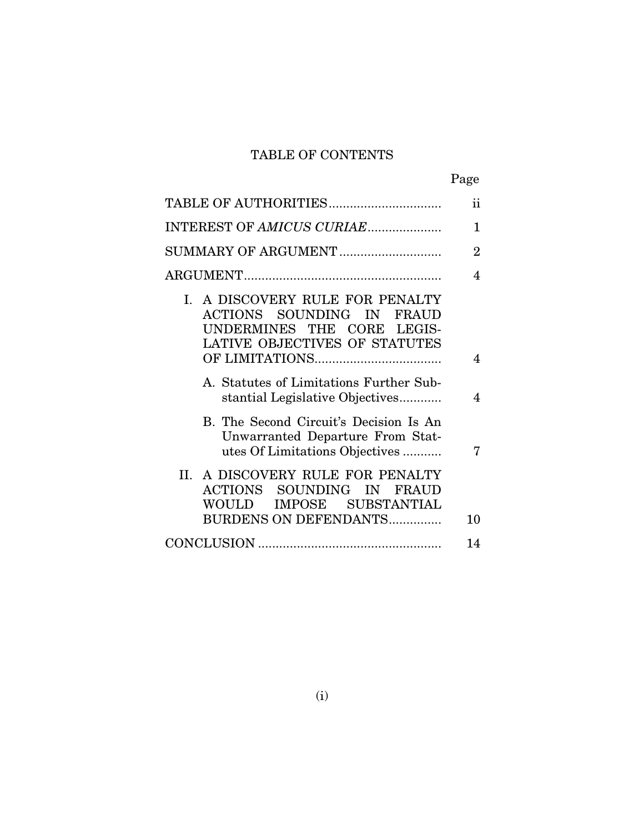## TABLE OF CONTENTS

|                                                                                                                             | Page                     |
|-----------------------------------------------------------------------------------------------------------------------------|--------------------------|
|                                                                                                                             | $\mathbf{ii}$            |
| INTEREST OF AMICUS CURIAE                                                                                                   | $\mathbf{1}$             |
| SUMMARY OF ARGUMENT                                                                                                         | $\overline{2}$           |
|                                                                                                                             | 4                        |
| I. A DISCOVERY RULE FOR PENALTY<br>ACTIONS SOUNDING IN FRAUD<br>UNDERMINES THE CORE LEGIS-<br>LATIVE OBJECTIVES OF STATUTES |                          |
|                                                                                                                             | $\overline{\mathbf{4}}$  |
| A. Statutes of Limitations Further Sub-<br>stantial Legislative Objectives                                                  | $\overline{\mathcal{A}}$ |
| B. The Second Circuit's Decision Is An<br>Unwarranted Departure From Stat-<br>utes Of Limitations Objectives                | 7                        |
| II. A DISCOVERY RULE FOR PENALTY<br>ACTIONS SOUNDING IN FRAUD<br>WOULD IMPOSE SUBSTANTIAL<br>BURDENS ON DEFENDANTS          | 10                       |
|                                                                                                                             | 14                       |
|                                                                                                                             |                          |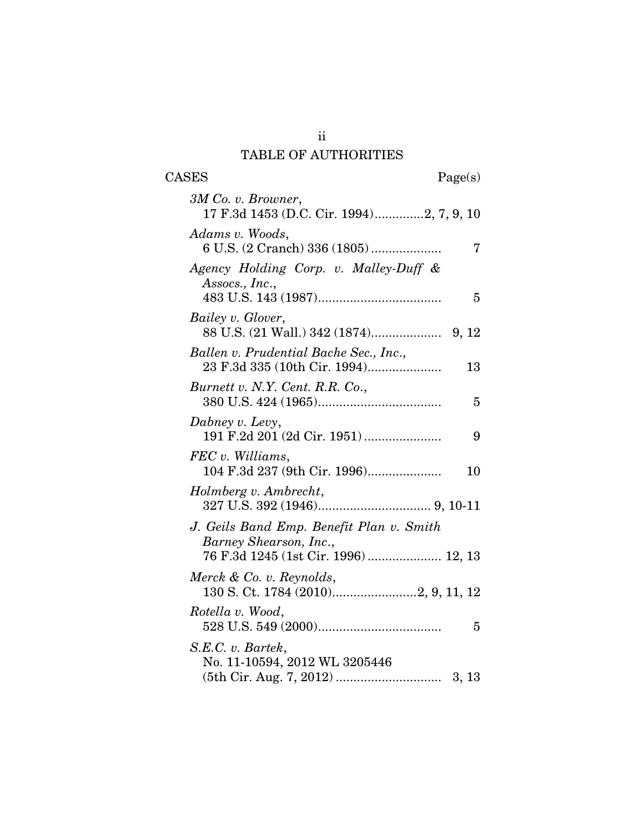## TABLE OF AUTHORITIES

CASES Page(s)

| 3M Co. v. Browner,<br>17 F.3d 1453 (D.C. Cir. 1994)2, 7, 9, 10                                            |
|-----------------------------------------------------------------------------------------------------------|
| Adams v. Woods,<br>6 U.S. (2 Cranch) 336 (1805)<br>7                                                      |
| Agency Holding Corp. v. Malley-Duff &<br>Assocs., Inc.,<br>5                                              |
| Bailey v. Glover,                                                                                         |
| Ballen v. Prudential Bache Sec., Inc.,<br>23 F.3d 335 (10th Cir. 1994)<br>13                              |
| Burnett v. N.Y. Cent. R.R. Co.,<br>5                                                                      |
| Dabney v. Levy,<br>191 F.2d 201 (2d Cir. 1951)<br>9                                                       |
| FEC v. Williams,<br>10                                                                                    |
| Holmberg v. Ambrecht,                                                                                     |
| J. Geils Band Emp. Benefit Plan v. Smith<br>Barney Shearson, Inc.,<br>76 F.3d 1245 (1st Cir. 1996) 12, 13 |
| Merck & Co. v. Reynolds,<br>130 S. Ct. 1784 (2010)2, 9, 11, 12                                            |
| Rotella v. Wood,<br>5                                                                                     |
| S.E.C. v. Bartek,<br>No. 11-10594, 2012 WL 3205446                                                        |

ii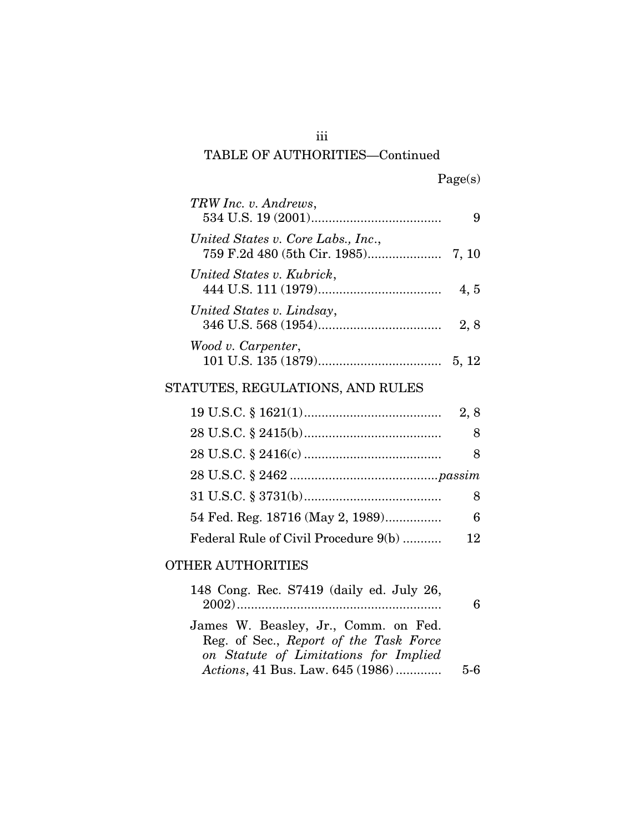## TABLE OF AUTHORITIES—Continued

| TRW Inc. v. Andrews,               |       |
|------------------------------------|-------|
| United States v. Core Labs., Inc., |       |
| United States v. Kubrick,          | 4, 5  |
| United States v. Lindsay,          | 2,8   |
| Wood v. Carpenter,                 | 5, 12 |

# STATUTES, REGULATIONS, AND RULES

|                                      | 2, 8 |
|--------------------------------------|------|
|                                      | 8    |
|                                      | 8    |
|                                      |      |
|                                      |      |
| 54 Fed. Reg. 18716 (May 2, 1989)     | 6    |
| Federal Rule of Civil Procedure 9(b) | 12.  |

## OTHER AUTHORITIES

|     | 148 Cong. Rec. S7419 (daily ed. July 26,                                  |
|-----|---------------------------------------------------------------------------|
|     |                                                                           |
|     | James W. Beasley, Jr., Comm. on Fed.                                      |
|     | Reg. of Sec., Report of the Task Force                                    |
| 5-6 | on Statute of Limitations for Implied<br>Actions, 41 Bus. Law. 645 (1986) |
|     |                                                                           |

iii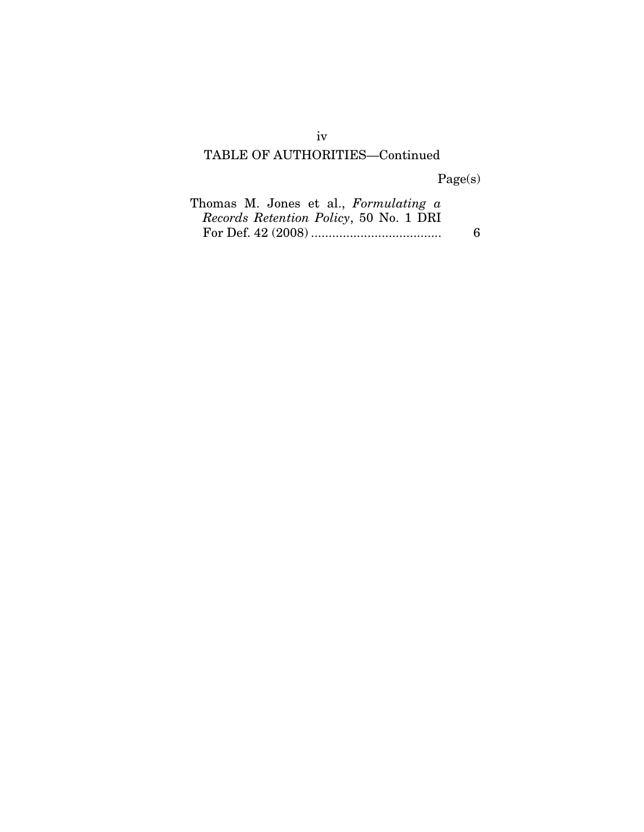## TABLE OF AUTHORITIES—Continued

Page(s)

| Thomas M. Jones et al., Formulating a  |   |
|----------------------------------------|---|
| Records Retention Policy, 50 No. 1 DRI |   |
|                                        | 6 |

iv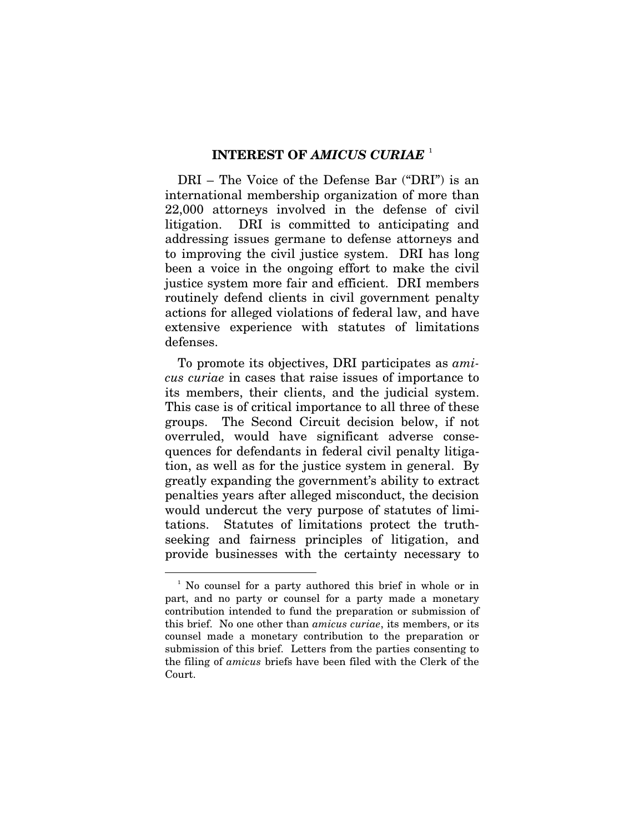#### **INTEREST OF** *AMICUS CURIAE* [1](#page-5-0)

DRI – The Voice of the Defense Bar ("DRI") is an international membership organization of more than 22,000 attorneys involved in the defense of civil litigation. DRI is committed to anticipating and addressing issues germane to defense attorneys and to improving the civil justice system. DRI has long been a voice in the ongoing effort to make the civil justice system more fair and efficient. DRI members routinely defend clients in civil government penalty actions for alleged violations of federal law, and have extensive experience with statutes of limitations defenses.

To promote its objectives, DRI participates as *amicus curiae* in cases that raise issues of importance to its members, their clients, and the judicial system. This case is of critical importance to all three of these groups. The Second Circuit decision below, if not overruled, would have significant adverse consequences for defendants in federal civil penalty litigation, as well as for the justice system in general. By greatly expanding the government's ability to extract penalties years after alleged misconduct, the decision would undercut the very purpose of statutes of limitations. Statutes of limitations protect the truthseeking and fairness principles of litigation, and provide businesses with the certainty necessary to

<span id="page-5-0"></span> <sup>1</sup> No counsel for a party authored this brief in whole or in part, and no party or counsel for a party made a monetary contribution intended to fund the preparation or submission of this brief. No one other than *amicus curiae*, its members, or its counsel made a monetary contribution to the preparation or submission of this brief. Letters from the parties consenting to the filing of *amicus* briefs have been filed with the Clerk of the Court.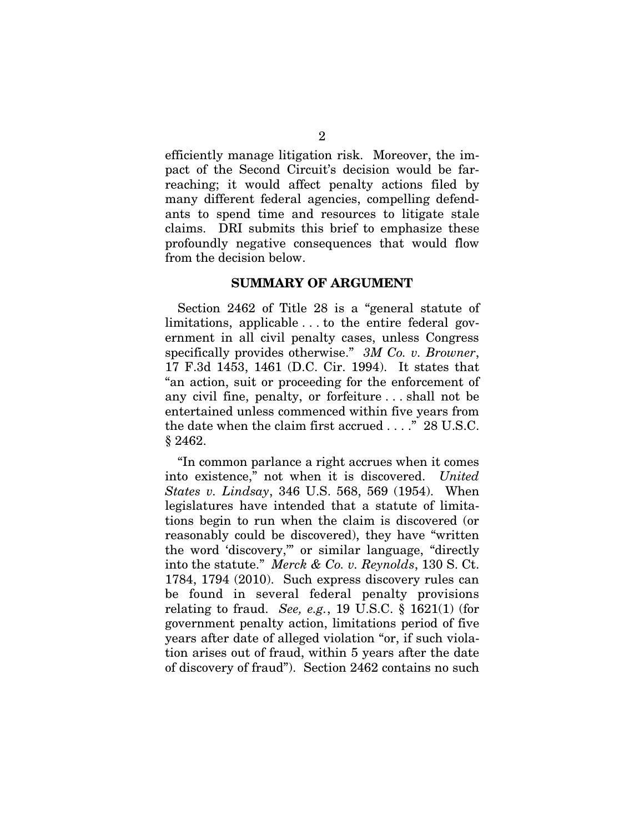efficiently manage litigation risk. Moreover, the impact of the Second Circuit's decision would be farreaching; it would affect penalty actions filed by many different federal agencies, compelling defendants to spend time and resources to litigate stale claims. DRI submits this brief to emphasize these profoundly negative consequences that would flow from the decision below.

#### **SUMMARY OF ARGUMENT**

Section 2462 of Title 28 is a "general statute of limitations, applicable . . . to the entire federal government in all civil penalty cases, unless Congress specifically provides otherwise." *3M Co. v. Browner*, 17 F.3d 1453, 1461 (D.C. Cir. 1994). It states that "an action, suit or proceeding for the enforcement of any civil fine, penalty, or forfeiture . . . shall not be entertained unless commenced within five years from the date when the claim first accrued . . . ." 28 U.S.C. § 2462.

"In common parlance a right accrues when it comes into existence," not when it is discovered. *United States v. Lindsay*, 346 U.S. 568, 569 (1954). When legislatures have intended that a statute of limitations begin to run when the claim is discovered (or reasonably could be discovered), they have "written the word 'discovery,'" or similar language, "directly into the statute." *Merck & Co. v. Reynolds*, 130 S. Ct. 1784, 1794 (2010). Such express discovery rules can be found in several federal penalty provisions relating to fraud. *See, e.g.*, 19 U.S.C. § 1621(1) (for government penalty action, limitations period of five years after date of alleged violation "or, if such violation arises out of fraud, within 5 years after the date of discovery of fraud"). Section 2462 contains no such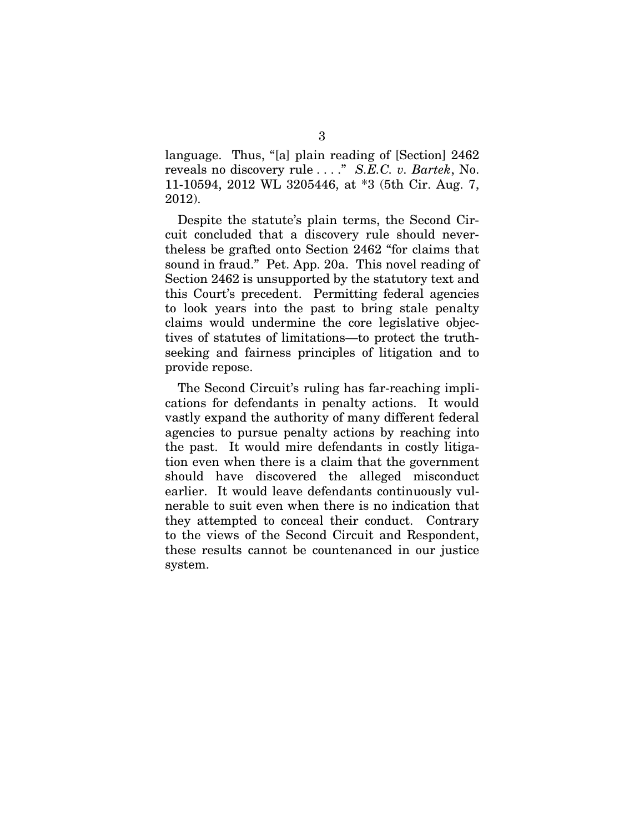language. Thus, "[a] plain reading of [Section] 2462 reveals no discovery rule . . . ." *S.E.C. v. Bartek*, No. 11-10594, 2012 WL 3205446, at \*3 (5th Cir. Aug. 7, 2012).

Despite the statute's plain terms, the Second Circuit concluded that a discovery rule should nevertheless be grafted onto Section 2462 "for claims that sound in fraud." Pet. App. 20a. This novel reading of Section 2462 is unsupported by the statutory text and this Court's precedent. Permitting federal agencies to look years into the past to bring stale penalty claims would undermine the core legislative objectives of statutes of limitations—to protect the truthseeking and fairness principles of litigation and to provide repose.

The Second Circuit's ruling has far-reaching implications for defendants in penalty actions. It would vastly expand the authority of many different federal agencies to pursue penalty actions by reaching into the past. It would mire defendants in costly litigation even when there is a claim that the government should have discovered the alleged misconduct earlier. It would leave defendants continuously vulnerable to suit even when there is no indication that they attempted to conceal their conduct. Contrary to the views of the Second Circuit and Respondent, these results cannot be countenanced in our justice system.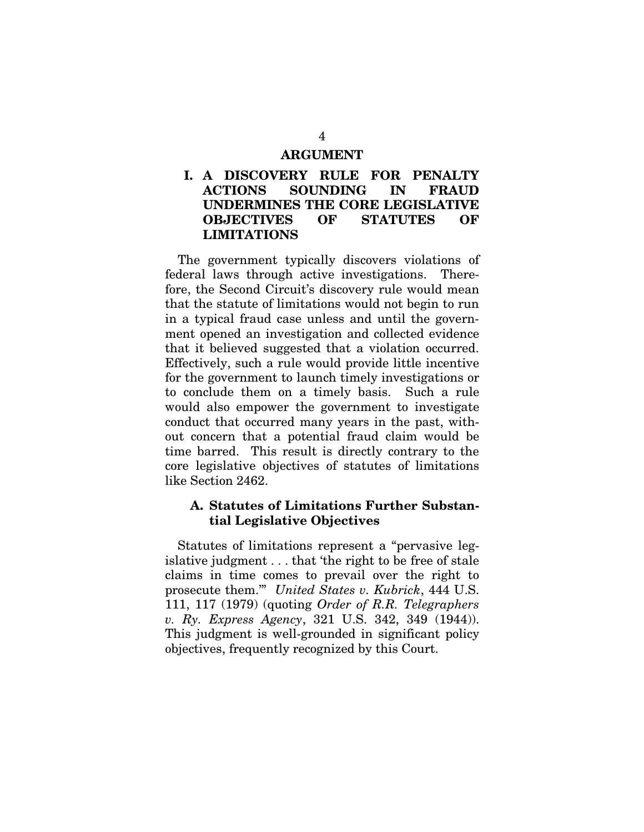#### **ARGUMENT**

#### **I. A DISCOVERY RULE FOR PENALTY ACTIONS SOUNDING IN FRAUD UNDERMINES THE CORE LEGISLATIVE OBJECTIVES OF STATUTES OF LIMITATIONS**

The government typically discovers violations of federal laws through active investigations. Therefore, the Second Circuit's discovery rule would mean that the statute of limitations would not begin to run in a typical fraud case unless and until the government opened an investigation and collected evidence that it believed suggested that a violation occurred. Effectively, such a rule would provide little incentive for the government to launch timely investigations or to conclude them on a timely basis. Such a rule would also empower the government to investigate conduct that occurred many years in the past, without concern that a potential fraud claim would be time barred. This result is directly contrary to the core legislative objectives of statutes of limitations like Section 2462.

#### **A. Statutes of Limitations Further Substantial Legislative Objectives**

Statutes of limitations represent a "pervasive legislative judgment . . . that 'the right to be free of stale claims in time comes to prevail over the right to prosecute them.'" *United States v. Kubrick*, 444 U.S. 111, 117 (1979) (quoting *Order of R.R. Telegraphers v. Ry. Express Agency*, 321 U.S. 342, 349 (1944)). This judgment is well-grounded in significant policy objectives, frequently recognized by this Court.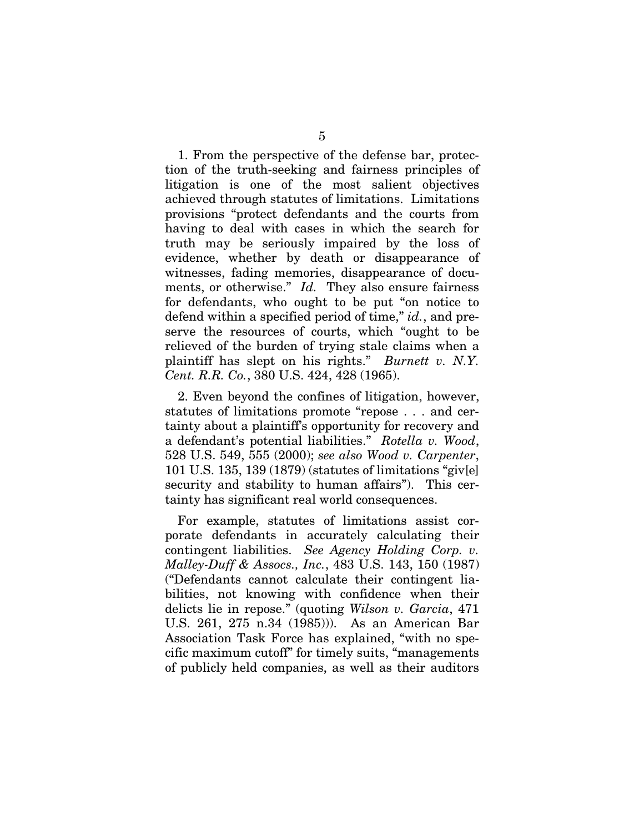1. From the perspective of the defense bar, protection of the truth-seeking and fairness principles of litigation is one of the most salient objectives achieved through statutes of limitations. Limitations provisions "protect defendants and the courts from having to deal with cases in which the search for truth may be seriously impaired by the loss of evidence, whether by death or disappearance of witnesses, fading memories, disappearance of documents, or otherwise." *Id.* They also ensure fairness for defendants, who ought to be put "on notice to defend within a specified period of time," *id.*, and preserve the resources of courts, which "ought to be relieved of the burden of trying stale claims when a plaintiff has slept on his rights." *Burnett v. N.Y. Cent. R.R. Co.*, 380 U.S. 424, 428 (1965).

2. Even beyond the confines of litigation, however, statutes of limitations promote "repose . . . and certainty about a plaintiff's opportunity for recovery and a defendant's potential liabilities." *Rotella v. Wood*, 528 U.S. 549, 555 (2000); *see also Wood v. Carpenter*, 101 U.S. 135, 139 (1879) (statutes of limitations "giv[e] security and stability to human affairs"). This certainty has significant real world consequences.

For example, statutes of limitations assist corporate defendants in accurately calculating their contingent liabilities. *See Agency Holding Corp. v. Malley-Duff & Assocs., Inc.*, 483 U.S. 143, 150 (1987) ("Defendants cannot calculate their contingent liabilities, not knowing with confidence when their delicts lie in repose." (quoting *Wilson v. Garcia*, 471 U.S. 261, 275 n.34 (1985))). As an American Bar Association Task Force has explained, "with no specific maximum cutoff" for timely suits, "managements of publicly held companies, as well as their auditors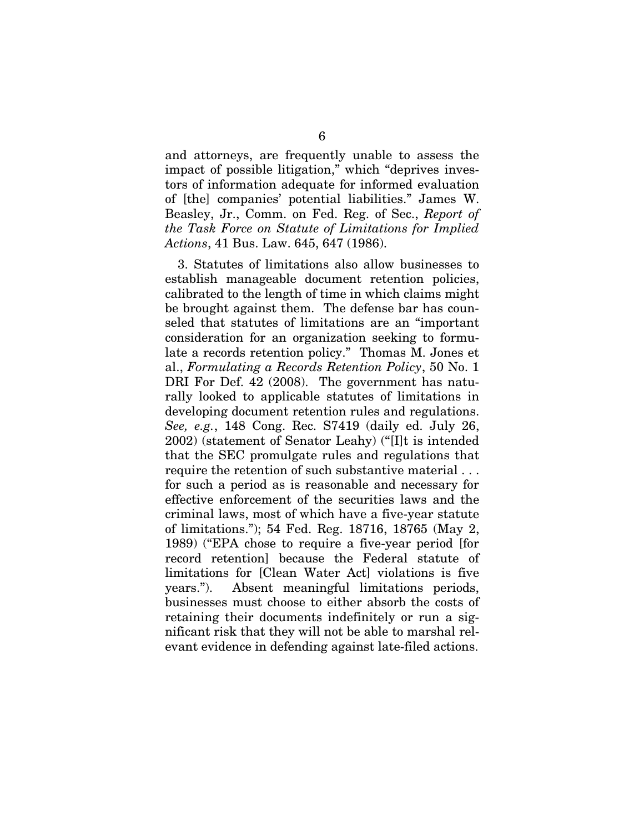and attorneys, are frequently unable to assess the impact of possible litigation," which "deprives investors of information adequate for informed evaluation of [the] companies' potential liabilities." James W. Beasley, Jr., Comm. on Fed. Reg. of Sec., *Report of the Task Force on Statute of Limitations for Implied Actions*, 41 Bus. Law. 645, 647 (1986).

3. Statutes of limitations also allow businesses to establish manageable document retention policies, calibrated to the length of time in which claims might be brought against them. The defense bar has counseled that statutes of limitations are an "important consideration for an organization seeking to formulate a records retention policy." Thomas M. Jones et al., *Formulating a Records Retention Policy*, 50 No. 1 DRI For Def. 42 (2008). The government has naturally looked to applicable statutes of limitations in developing document retention rules and regulations. *See, e.g.*, 148 Cong. Rec. S7419 (daily ed. July 26, 2002) (statement of Senator Leahy) ("[I]t is intended that the SEC promulgate rules and regulations that require the retention of such substantive material . . . for such a period as is reasonable and necessary for effective enforcement of the securities laws and the criminal laws, most of which have a five-year statute of limitations."); 54 Fed. Reg. 18716, 18765 (May 2, 1989) ("EPA chose to require a five-year period [for record retention] because the Federal statute of limitations for [Clean Water Act] violations is five years."). Absent meaningful limitations periods, businesses must choose to either absorb the costs of retaining their documents indefinitely or run a significant risk that they will not be able to marshal relevant evidence in defending against late-filed actions.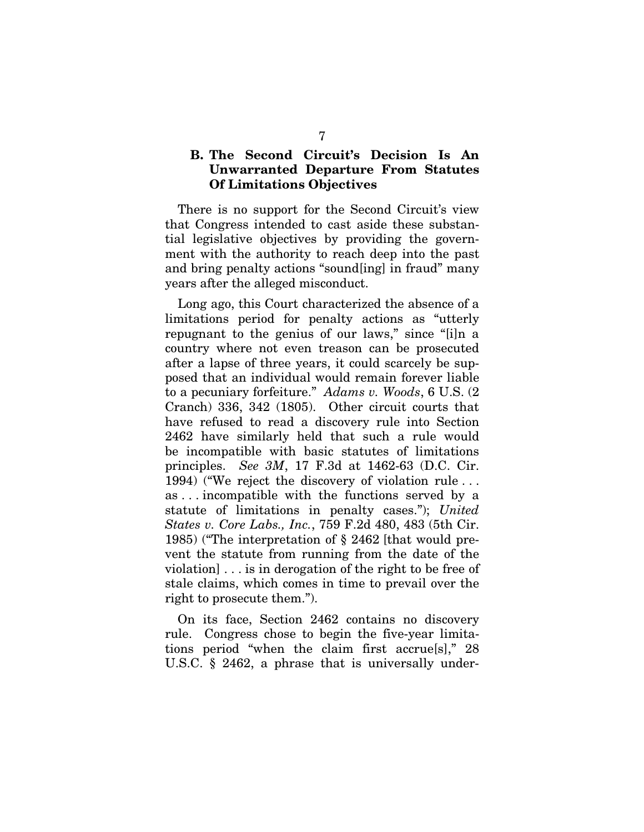#### **B. The Second Circuit's Decision Is An Unwarranted Departure From Statutes Of Limitations Objectives**

There is no support for the Second Circuit's view that Congress intended to cast aside these substantial legislative objectives by providing the government with the authority to reach deep into the past and bring penalty actions "sound[ing] in fraud" many years after the alleged misconduct.

Long ago, this Court characterized the absence of a limitations period for penalty actions as "utterly repugnant to the genius of our laws," since "[i]n a country where not even treason can be prosecuted after a lapse of three years, it could scarcely be supposed that an individual would remain forever liable to a pecuniary forfeiture." *Adams v. Woods*, 6 U.S. (2 Cranch) 336, 342 (1805). Other circuit courts that have refused to read a discovery rule into Section 2462 have similarly held that such a rule would be incompatible with basic statutes of limitations principles. *See 3M*, 17 F.3d at 1462-63 (D.C. Cir. 1994) ("We reject the discovery of violation rule . . . as . . . incompatible with the functions served by a statute of limitations in penalty cases."); *United States v. Core Labs., Inc.*, 759 F.2d 480, 483 (5th Cir. 1985) ("The interpretation of § 2462 [that would prevent the statute from running from the date of the violation] . . . is in derogation of the right to be free of stale claims, which comes in time to prevail over the right to prosecute them.").

On its face, Section 2462 contains no discovery rule. Congress chose to begin the five-year limitations period "when the claim first accrue[s]," 28 U.S.C. § 2462, a phrase that is universally under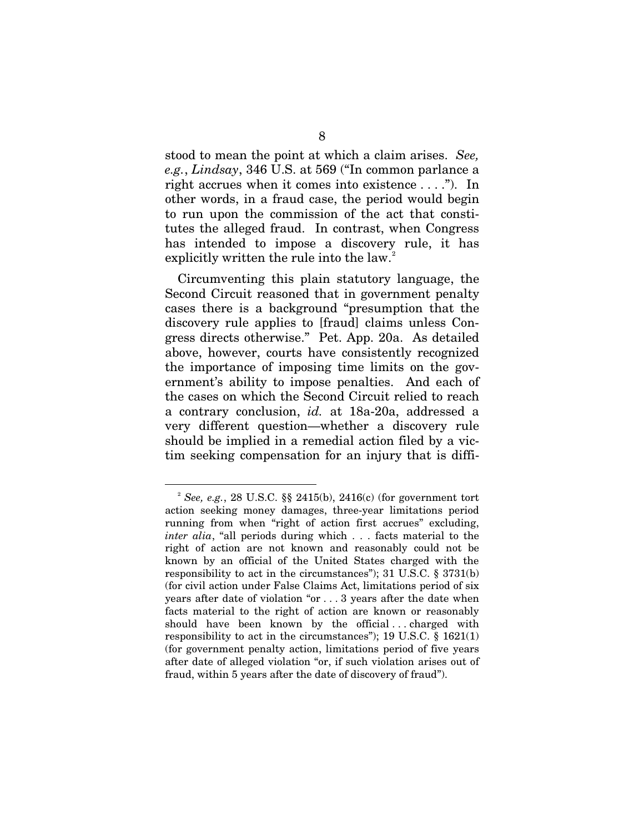stood to mean the point at which a claim arises. *See, e.g.*, *Lindsay*, 346 U.S. at 569 ("In common parlance a right accrues when it comes into existence . . . ."). In other words, in a fraud case, the period would begin to run upon the commission of the act that constitutes the alleged fraud. In contrast, when Congress has intended to impose a discovery rule, it has explicitly written the rule into the law.<sup>[2](#page-12-0)</sup>

Circumventing this plain statutory language, the Second Circuit reasoned that in government penalty cases there is a background "presumption that the discovery rule applies to [fraud] claims unless Congress directs otherwise." Pet. App. 20a. As detailed above, however, courts have consistently recognized the importance of imposing time limits on the government's ability to impose penalties. And each of the cases on which the Second Circuit relied to reach a contrary conclusion, *id.* at 18a-20a, addressed a very different question—whether a discovery rule should be implied in a remedial action filed by a victim seeking compensation for an injury that is diffi-

<span id="page-12-0"></span> <sup>2</sup> *See, e.g.*, 28 U.S.C. §§ 2415(b), 2416(c) (for government tort action seeking money damages, three-year limitations period running from when "right of action first accrues" excluding, *inter alia*, "all periods during which . . . facts material to the right of action are not known and reasonably could not be known by an official of the United States charged with the responsibility to act in the circumstances"); 31 U.S.C. § 3731(b) (for civil action under False Claims Act, limitations period of six years after date of violation "or . . . 3 years after the date when facts material to the right of action are known or reasonably should have been known by the official . . . charged with responsibility to act in the circumstances"); 19 U.S.C.  $\S$  1621(1) (for government penalty action, limitations period of five years after date of alleged violation "or, if such violation arises out of fraud, within 5 years after the date of discovery of fraud").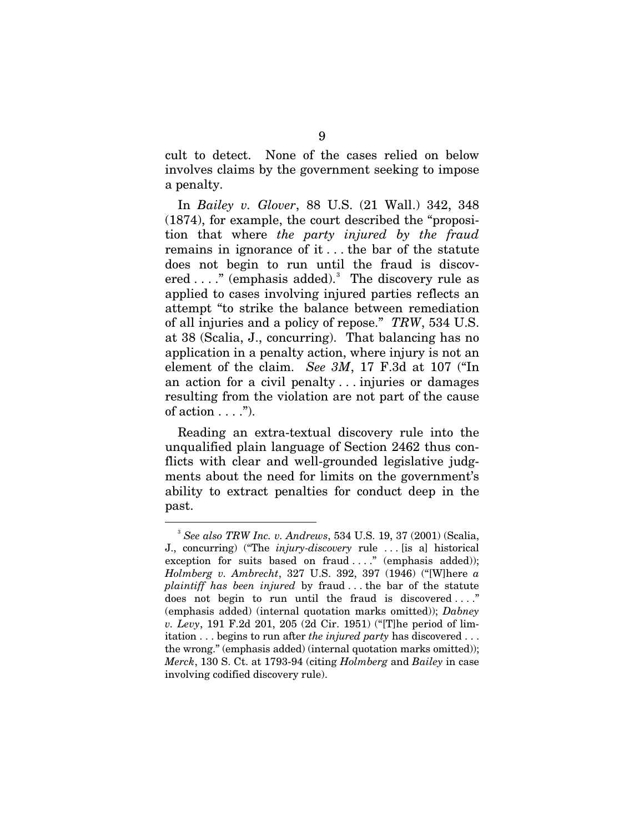cult to detect. None of the cases relied on below involves claims by the government seeking to impose a penalty.

In *Bailey v. Glover*, 88 U.S. (21 Wall.) 342, 348 (1874), for example, the court described the "proposition that where *the party injured by the fraud* remains in ignorance of it . . . the bar of the statute does not begin to run until the fraud is discov-ered ...." (emphasis added).<sup>[3](#page-13-0)</sup> The discovery rule as applied to cases involving injured parties reflects an attempt "to strike the balance between remediation of all injuries and a policy of repose." *TRW*, 534 U.S. at 38 (Scalia, J., concurring). That balancing has no application in a penalty action, where injury is not an element of the claim. *See 3M*, 17 F.3d at 107 ("In an action for a civil penalty . . . injuries or damages resulting from the violation are not part of the cause of action  $\dots$ .").

Reading an extra-textual discovery rule into the unqualified plain language of Section 2462 thus conflicts with clear and well-grounded legislative judgments about the need for limits on the government's ability to extract penalties for conduct deep in the past.

<span id="page-13-0"></span> <sup>3</sup> *See also TRW Inc. v. Andrews*, 534 U.S. 19, 37 (2001) (Scalia, J., concurring) ("The *injury-discovery* rule . . . [is a] historical exception for suits based on fraud  $\dots$ ." (emphasis added)); *Holmberg v. Ambrecht*, 327 U.S. 392, 397 (1946) ("[W]here *a plaintiff has been injured* by fraud . . . the bar of the statute does not begin to run until the fraud is discovered . . . ." (emphasis added) (internal quotation marks omitted)); *Dabney v. Levy*, 191 F.2d 201, 205 (2d Cir. 1951) ("[T]he period of limitation . . . begins to run after *the injured party* has discovered . . . the wrong." (emphasis added) (internal quotation marks omitted)); *Merck*, 130 S. Ct. at 1793-94 (citing *Holmberg* and *Bailey* in case involving codified discovery rule).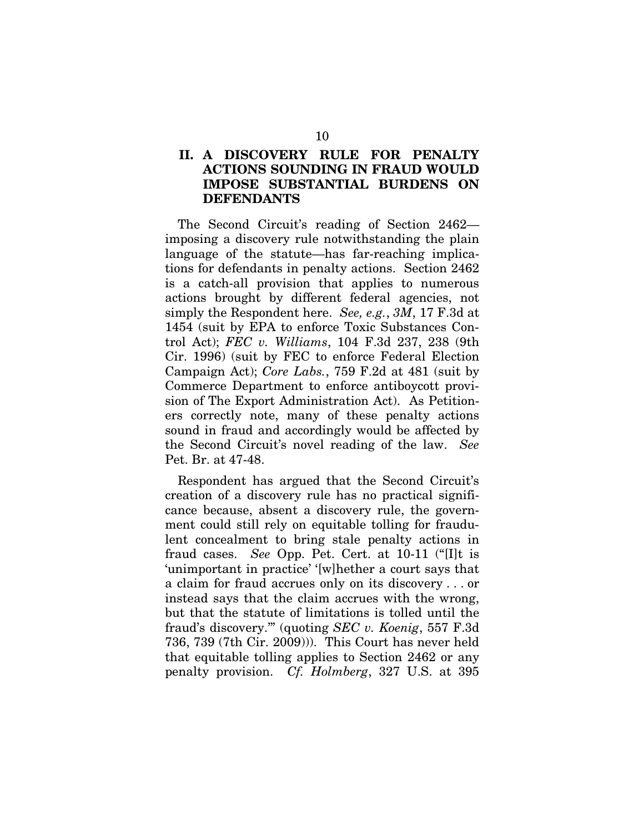### **II. A DISCOVERY RULE FOR PENALTY ACTIONS SOUNDING IN FRAUD WOULD IMPOSE SUBSTANTIAL BURDENS ON DEFENDANTS**

The Second Circuit's reading of Section 2462 imposing a discovery rule notwithstanding the plain language of the statute—has far-reaching implications for defendants in penalty actions. Section 2462 is a catch-all provision that applies to numerous actions brought by different federal agencies, not simply the Respondent here. *See, e.g.*, *3M*, 17 F.3d at 1454 (suit by EPA to enforce Toxic Substances Control Act); *FEC v. Williams*, 104 F.3d 237, 238 (9th Cir. 1996) (suit by FEC to enforce Federal Election Campaign Act); *Core Labs.*, 759 F.2d at 481 (suit by Commerce Department to enforce antiboycott provision of The Export Administration Act). As Petitioners correctly note, many of these penalty actions sound in fraud and accordingly would be affected by the Second Circuit's novel reading of the law. *See*  Pet. Br. at 47-48.

Respondent has argued that the Second Circuit's creation of a discovery rule has no practical significance because, absent a discovery rule, the government could still rely on equitable tolling for fraudulent concealment to bring stale penalty actions in fraud cases. *See* Opp. Pet. Cert. at 10-11 ("[I]t is 'unimportant in practice' '[w]hether a court says that a claim for fraud accrues only on its discovery . . . or instead says that the claim accrues with the wrong, but that the statute of limitations is tolled until the fraud's discovery.'" (quoting *SEC v. Koenig*, 557 F.3d 736, 739 (7th Cir. 2009))). This Court has never held that equitable tolling applies to Section 2462 or any penalty provision. *Cf. Holmberg*, 327 U.S. at 395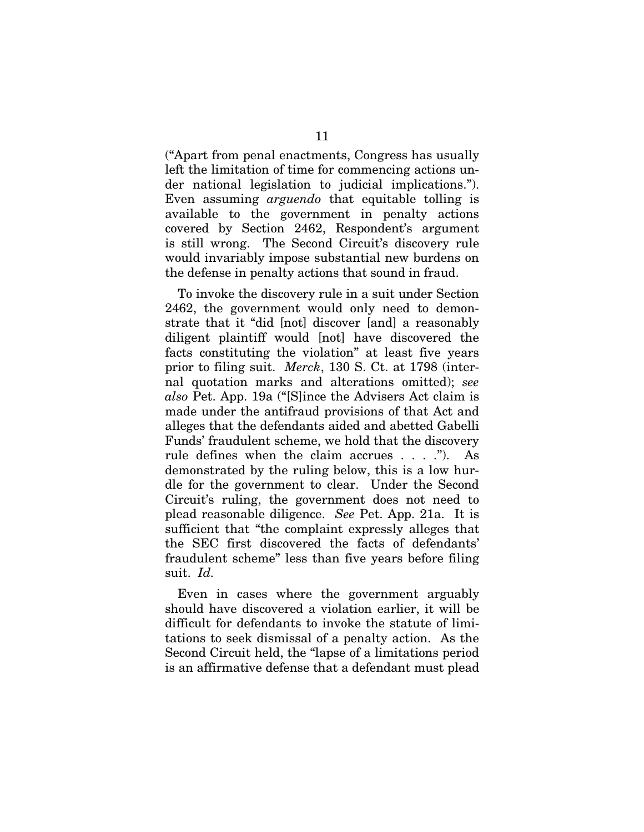("Apart from penal enactments, Congress has usually left the limitation of time for commencing actions under national legislation to judicial implications."). Even assuming *arguendo* that equitable tolling is available to the government in penalty actions covered by Section 2462, Respondent's argument is still wrong. The Second Circuit's discovery rule would invariably impose substantial new burdens on the defense in penalty actions that sound in fraud.

To invoke the discovery rule in a suit under Section 2462, the government would only need to demonstrate that it "did [not] discover [and] a reasonably diligent plaintiff would [not] have discovered the facts constituting the violation" at least five years prior to filing suit. *Merck*, 130 S. Ct. at 1798 (internal quotation marks and alterations omitted); *see also* Pet. App. 19a ("[S]ince the Advisers Act claim is made under the antifraud provisions of that Act and alleges that the defendants aided and abetted Gabelli Funds' fraudulent scheme, we hold that the discovery rule defines when the claim accrues . . . ."). As demonstrated by the ruling below, this is a low hurdle for the government to clear. Under the Second Circuit's ruling, the government does not need to plead reasonable diligence. *See* Pet. App. 21a. It is sufficient that "the complaint expressly alleges that the SEC first discovered the facts of defendants' fraudulent scheme" less than five years before filing suit. *Id.*

Even in cases where the government arguably should have discovered a violation earlier, it will be difficult for defendants to invoke the statute of limitations to seek dismissal of a penalty action. As the Second Circuit held, the "lapse of a limitations period is an affirmative defense that a defendant must plead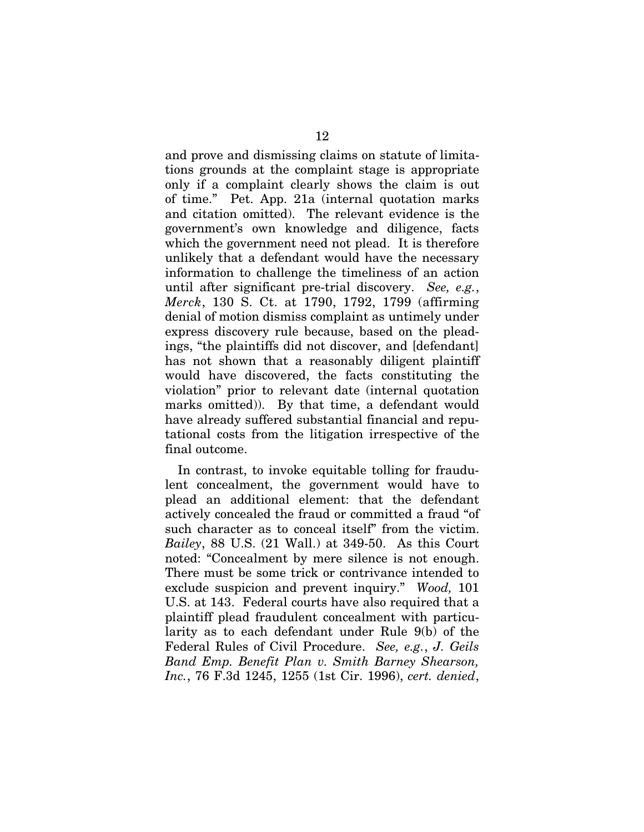and prove and dismissing claims on statute of limitations grounds at the complaint stage is appropriate only if a complaint clearly shows the claim is out of time." Pet. App. 21a (internal quotation marks and citation omitted). The relevant evidence is the government's own knowledge and diligence, facts which the government need not plead. It is therefore unlikely that a defendant would have the necessary information to challenge the timeliness of an action until after significant pre-trial discovery. *See, e.g.*, *Merck*, 130 S. Ct. at 1790, 1792, 1799 (affirming denial of motion dismiss complaint as untimely under express discovery rule because, based on the pleadings, "the plaintiffs did not discover, and [defendant] has not shown that a reasonably diligent plaintiff would have discovered, the facts constituting the violation" prior to relevant date (internal quotation marks omitted)). By that time, a defendant would have already suffered substantial financial and reputational costs from the litigation irrespective of the final outcome.

In contrast, to invoke equitable tolling for fraudulent concealment, the government would have to plead an additional element: that the defendant actively concealed the fraud or committed a fraud "of such character as to conceal itself" from the victim. *Bailey*, 88 U.S. (21 Wall.) at 349-50. As this Court noted: "Concealment by mere silence is not enough. There must be some trick or contrivance intended to exclude suspicion and prevent inquiry." *Wood,* 101 U.S. at 143. Federal courts have also required that a plaintiff plead fraudulent concealment with particularity as to each defendant under Rule 9(b) of the Federal Rules of Civil Procedure. *See, e.g.*, *J. Geils Band Emp. Benefit Plan v. Smith Barney Shearson, Inc.*, 76 F.3d 1245, 1255 (1st Cir. 1996), *cert. denied*,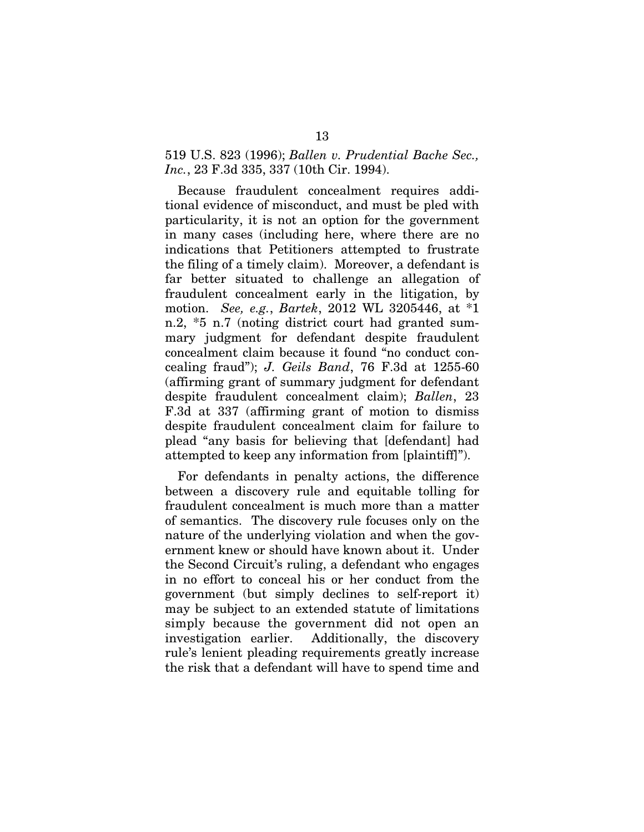#### 519 U.S. 823 (1996); *Ballen v. Prudential Bache Sec., Inc.*, 23 F.3d 335, 337 (10th Cir. 1994).

Because fraudulent concealment requires additional evidence of misconduct, and must be pled with particularity, it is not an option for the government in many cases (including here, where there are no indications that Petitioners attempted to frustrate the filing of a timely claim). Moreover, a defendant is far better situated to challenge an allegation of fraudulent concealment early in the litigation, by motion. *See, e.g.*, *Bartek*, 2012 WL 3205446, at \*1 n.2, \*5 n.7 (noting district court had granted summary judgment for defendant despite fraudulent concealment claim because it found "no conduct concealing fraud"); *J. Geils Band*, 76 F.3d at 1255-60 (affirming grant of summary judgment for defendant despite fraudulent concealment claim); *Ballen*, 23 F.3d at 337 (affirming grant of motion to dismiss despite fraudulent concealment claim for failure to plead "any basis for believing that [defendant] had attempted to keep any information from [plaintiff]").

For defendants in penalty actions, the difference between a discovery rule and equitable tolling for fraudulent concealment is much more than a matter of semantics. The discovery rule focuses only on the nature of the underlying violation and when the government knew or should have known about it. Under the Second Circuit's ruling, a defendant who engages in no effort to conceal his or her conduct from the government (but simply declines to self-report it) may be subject to an extended statute of limitations simply because the government did not open an investigation earlier. Additionally, the discovery rule's lenient pleading requirements greatly increase the risk that a defendant will have to spend time and